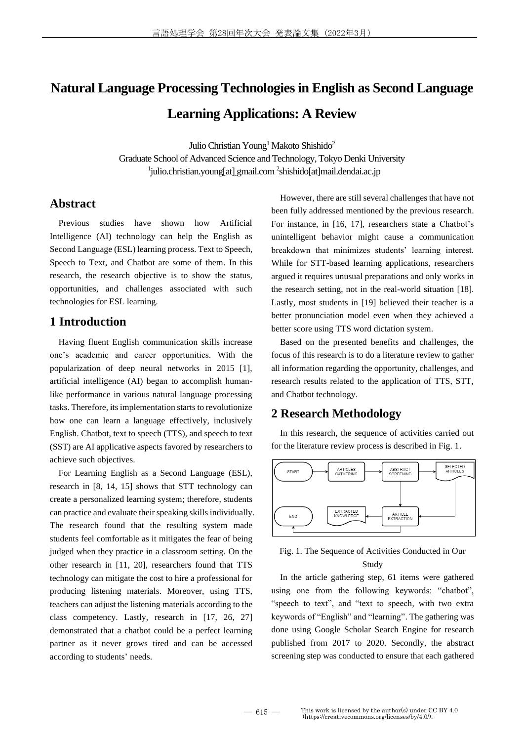# **Natural Language Processing Technologies in English as Second Language Learning Applications: A Review**

Julio Christian Young<sup>1</sup> Makoto Shishido<sup>2</sup> Graduate School of Advanced Science and Technology, Tokyo Denki University <sup>1</sup>julio.christian.young[at]\_gmail.com<sup>2</sup>shishido[at]mail.dendai.ac.jp

# **Abstract**

Previous studies have shown how Artificial Intelligence (AI) technology can help the English as Second Language (ESL) learning process. Text to Speech, Speech to Text, and Chatbot are some of them. In this research, the research objective is to show the status, opportunities, and challenges associated with such technologies for ESL learning.

# **1 Introduction**

Having fluent English communication skills increase one's academic and career opportunities. With the popularization of deep neural networks in 2015 [1], artificial intelligence (AI) began to accomplish humanlike performance in various natural language processing tasks. Therefore, its implementation starts to revolutionize how one can learn a language effectively, inclusively English. Chatbot, text to speech (TTS), and speech to text (SST) are AI applicative aspects favored by researchers to achieve such objectives.

For Learning English as a Second Language (ESL), research in [8, 14, 15] shows that STT technology can create a personalized learning system; therefore, students can practice and evaluate their speaking skills individually. The research found that the resulting system made students feel comfortable as it mitigates the fear of being judged when they practice in a classroom setting. On the other research in [11, 20], researchers found that TTS technology can mitigate the cost to hire a professional for producing listening materials. Moreover, using TTS, teachers can adjust the listening materials according to the class competency. Lastly, research in [17, 26, 27] demonstrated that a chatbot could be a perfect learning partner as it never grows tired and can be accessed according to students' needs.

However, there are still several challenges that have not been fully addressed mentioned by the previous research. For instance, in [16, 17], researchers state a Chatbot's unintelligent behavior might cause a communication breakdown that minimizes students' learning interest. While for STT-based learning applications, researchers argued it requires unusual preparations and only works in the research setting, not in the real-world situation [18]. Lastly, most students in [19] believed their teacher is a better pronunciation model even when they achieved a better score using TTS word dictation system.

Based on the presented benefits and challenges, the focus of this research is to do a literature review to gather all information regarding the opportunity, challenges, and research results related to the application of TTS, STT, and Chatbot technology.

## **2 Research Methodology**

In this research, the sequence of activities carried out for the literature review process is described in Fig. 1.



### Fig. 1. The Sequence of Activities Conducted in Our Study

In the article gathering step, 61 items were gathered using one from the following keywords: "chatbot", "speech to text", and "text to speech, with two extra keywords of "English" and "learning". The gathering was done using Google Scholar Search Engine for research published from 2017 to 2020. Secondly, the abstract screening step was conducted to ensure that each gathered

 $-615-$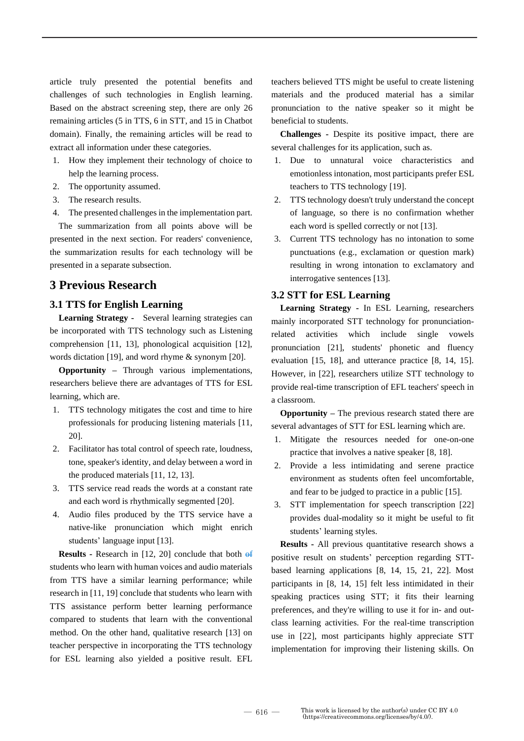article truly presented the potential benefits and challenges of such technologies in English learning. Based on the abstract screening step, there are only 26 remaining articles (5 in TTS, 6 in STT, and 15 in Chatbot domain). Finally, the remaining articles will be read to extract all information under these categories.

- 1. How they implement their technology of choice to help the learning process.
- 2. The opportunity assumed.
- 3. The research results.
- 4. The presented challenges in the implementation part.

The summarization from all points above will be presented in the next section. For readers' convenience, the summarization results for each technology will be presented in a separate subsection.

# **3 Previous Research**

#### **3.1 TTS for English Learning**

**Learning Strategy -** Several learning strategies can be incorporated with TTS technology such as Listening comprehension [11, 13], phonological acquisition [12], words dictation [19], and word rhyme & synonym [20].

**Opportunity –** Through various implementations, researchers believe there are advantages of TTS for ESL learning, which are.

- 1. TTS technology mitigates the cost and time to hire professionals for producing listening materials [11, 20].
- 2. Facilitator has total control of speech rate, loudness, tone, speaker's identity, and delay between a word in the produced materials [11, 12, 13].
- 3. TTS service read reads the words at a constant rate and each word is rhythmically segmented [20].
- 4. Audio files produced by the TTS service have a native-like pronunciation which might enrich students' language input [13].

**Results -** Research in [12, 20] conclude that both of students who learn with human voices and audio materials from TTS have a similar learning performance; while research in [11, 19] conclude that students who learn with TTS assistance perform better learning performance compared to students that learn with the conventional method. On the other hand, qualitative research [13] on teacher perspective in incorporating the TTS technology for ESL learning also yielded a positive result. EFL teachers believed TTS might be useful to create listening materials and the produced material has a similar pronunciation to the native speaker so it might be beneficial to students.

**Challenges -** Despite its positive impact, there are several challenges for its application, such as.

- 1. Due to unnatural voice characteristics and emotionless intonation, most participants prefer ESL teachers to TTS technology [19].
- 2. TTS technology doesn't truly understand the concept of language, so there is no confirmation whether each word is spelled correctly or not [13].
- 3. Current TTS technology has no intonation to some punctuations (e.g., exclamation or question mark) resulting in wrong intonation to exclamatory and interrogative sentences [13].

#### **3.2 STT for ESL Learning**

**Learning Strategy -** In ESL Learning, researchers mainly incorporated STT technology for pronunciationrelated activities which include single vowels pronunciation [21], students' phonetic and fluency evaluation [15, 18], and utterance practice [8, 14, 15]. However, in [22], researchers utilize STT technology to provide real-time transcription of EFL teachers' speech in a classroom.

**Opportunity –** The previous research stated there are several advantages of STT for ESL learning which are.

- 1. Mitigate the resources needed for one-on-one practice that involves a native speaker [8, 18].
- 2. Provide a less intimidating and serene practice environment as students often feel uncomfortable, and fear to be judged to practice in a public [15].
- 3. STT implementation for speech transcription [22] provides dual-modality so it might be useful to fit students' learning styles.

**Results -** All previous quantitative research shows a positive result on students' perception regarding STTbased learning applications [8, 14, 15, 21, 22]. Most participants in [8, 14, 15] felt less intimidated in their speaking practices using STT; it fits their learning preferences, and they're willing to use it for in- and outclass learning activities. For the real-time transcription use in [22], most participants highly appreciate STT implementation for improving their listening skills. On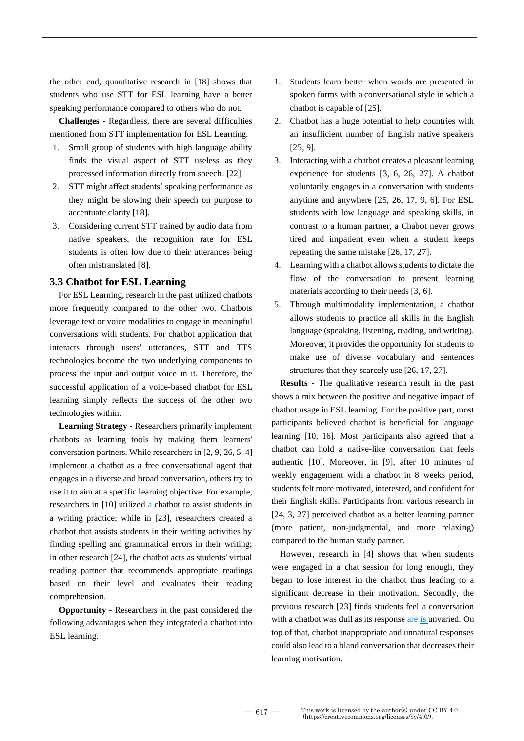the other end, quantitative research in [18] shows that students who use STT for ESL learning have a better speaking performance compared to others who do not.

**Challenges -** Regardless, there are several difficulties mentioned from STT implementation for ESL Learning.

- 1. Small group of students with high language ability finds the visual aspect of STT useless as they processed information directly from speech. [22].
- 2. STT might affect students' speaking performance as they might be slowing their speech on purpose to accentuate clarity [18].
- 3. Considering current STT trained by audio data from native speakers, the recognition rate for ESL students is often low due to their utterances being often mistranslated [8].

#### **3.3 Chatbot for ESL Learning**

For ESL Learning, research in the past utilized chatbots more frequently compared to the other two. Chatbots leverage text or voice modalities to engage in meaningful conversations with students. For chatbot application that interacts through users' utterances, STT and TTS technologies become the two underlying components to process the input and output voice in it. Therefore, the successful application of a voice-based chatbot for ESL learning simply reflects the success of the other two technologies within.

**Learning Strategy -** Researchers primarily implement chatbots as learning tools by making them learners' conversation partners. While researchers in [2, 9, 26, 5, 4] implement a chatbot as a free conversational agent that engages in a diverse and broad conversation, others try to use it to aim at a specific learning objective. For example, researchers in [10] utilized a chatbot to assist students in a writing practice; while in [23], researchers created a chatbot that assists students in their writing activities by finding spelling and grammatical errors in their writing; in other research [24], the chatbot acts as students' virtual reading partner that recommends appropriate readings based on their level and evaluates their reading comprehension.

**Opportunity -** Researchers in the past considered the following advantages when they integrated a chatbot into ESL learning.

- 1. Students learn better when words are presented in spoken forms with a conversational style in which a chatbot is capable of [25].
- 2. Chatbot has a huge potential to help countries with an insufficient number of English native speakers [25, 9].
- 3. Interacting with a chatbot creates a pleasant learning experience for students [3, 6, 26, 27]. A chatbot voluntarily engages in a conversation with students anytime and anywhere [25, 26, 17, 9, 6]. For ESL students with low language and speaking skills, in contrast to a human partner, a Chabot never grows tired and impatient even when a student keeps repeating the same mistake [26, 17, 27].
- 4. Learning with a chatbot allows students to dictate the flow of the conversation to present learning materials according to their needs [3, 6].
- 5. Through multimodality implementation, a chatbot allows students to practice all skills in the English language (speaking, listening, reading, and writing). Moreover, it provides the opportunity for students to make use of diverse vocabulary and sentences structures that they scarcely use [26, 17, 27].

**Results -** The qualitative research result in the past shows a mix between the positive and negative impact of chatbot usage in ESL learning. For the positive part, most participants believed chatbot is beneficial for language learning [10, 16]. Most participants also agreed that a chatbot can hold a native-like conversation that feels authentic [10]. Moreover, in [9], after 10 minutes of weekly engagement with a chatbot in 8 weeks period, students felt more motivated, interested, and confident for their English skills. Participants from various research in [24, 3, 27] perceived chatbot as a better learning partner (more patient, non-judgmental, and more relaxing) compared to the human study partner.

However, research in [4] shows that when students were engaged in a chat session for long enough, they began to lose interest in the chatbot thus leading to a significant decrease in their motivation. Secondly, the previous research [23] finds students feel a conversation with a chatbot was dull as its response are is unvaried. On top of that, chatbot inappropriate and unnatural responses could also lead to a bland conversation that decreases their learning motivation.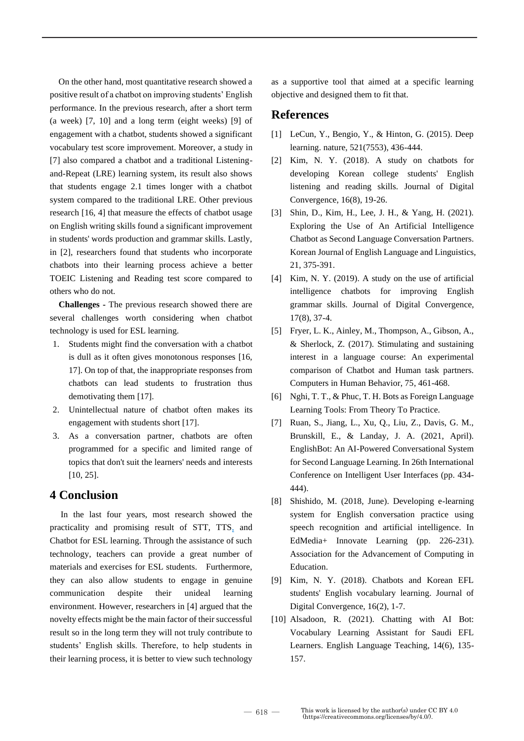On the other hand, most quantitative research showed a positive result of a chatbot on improving students' English performance. In the previous research, after a short term (a week) [7, 10] and a long term (eight weeks) [9] of engagement with a chatbot, students showed a significant vocabulary test score improvement. Moreover, a study in [7] also compared a chatbot and a traditional Listeningand-Repeat (LRE) learning system, its result also shows that students engage 2.1 times longer with a chatbot system compared to the traditional LRE. Other previous research [16, 4] that measure the effects of chatbot usage on English writing skills found a significant improvement in students' words production and grammar skills. Lastly, in [2], researchers found that students who incorporate chatbots into their learning process achieve a better TOEIC Listening and Reading test score compared to others who do not.

**Challenges -** The previous research showed there are several challenges worth considering when chatbot technology is used for ESL learning.

- 1. Students might find the conversation with a chatbot is dull as it often gives monotonous responses [16, 17]. On top of that, the inappropriate responses from chatbots can lead students to frustration thus demotivating them [17].
- 2. Unintellectual nature of chatbot often makes its engagement with students short [17].
- 3. As a conversation partner, chatbots are often programmed for a specific and limited range of topics that don't suit the learners' needs and interests [10, 25].

# **4 Conclusion**

In the last four years, most research showed the practicality and promising result of STT, TTS, and Chatbot for ESL learning. Through the assistance of such technology, teachers can provide a great number of materials and exercises for ESL students. Furthermore, they can also allow students to engage in genuine communication despite their unideal learning environment. However, researchers in [4] argued that the novelty effects might be the main factor of their successful result so in the long term they will not truly contribute to students' English skills. Therefore, to help students in their learning process, it is better to view such technology

as a supportive tool that aimed at a specific learning objective and designed them to fit that.

# **References**

- [1] LeCun, Y., Bengio, Y., & Hinton, G. (2015). Deep learning. nature, 521(7553), 436-444.
- [2] Kim, N. Y. (2018). A study on chatbots for developing Korean college students' English listening and reading skills. Journal of Digital Convergence, 16(8), 19-26.
- [3] Shin, D., Kim, H., Lee, J. H., & Yang, H. (2021). Exploring the Use of An Artificial Intelligence Chatbot as Second Language Conversation Partners. Korean Journal of English Language and Linguistics, 21, 375-391.
- [4] Kim, N. Y. (2019). A study on the use of artificial intelligence chatbots for improving English grammar skills. Journal of Digital Convergence, 17(8), 37-4.
- [5] Fryer, L. K., Ainley, M., Thompson, A., Gibson, A., & Sherlock, Z. (2017). Stimulating and sustaining interest in a language course: An experimental comparison of Chatbot and Human task partners. Computers in Human Behavior, 75, 461-468.
- [6] Nghi, T. T., & Phuc, T. H. Bots as Foreign Language Learning Tools: From Theory To Practice.
- [7] Ruan, S., Jiang, L., Xu, Q., Liu, Z., Davis, G. M., Brunskill, E., & Landay, J. A. (2021, April). EnglishBot: An AI-Powered Conversational System for Second Language Learning. In 26th International Conference on Intelligent User Interfaces (pp. 434- 444).
- [8] Shishido, M. (2018, June). Developing e-learning system for English conversation practice using speech recognition and artificial intelligence. In EdMedia+ Innovate Learning (pp. 226-231). Association for the Advancement of Computing in Education.
- [9] Kim, N. Y. (2018). Chatbots and Korean EFL students' English vocabulary learning. Journal of Digital Convergence, 16(2), 1-7.
- [10] Alsadoon, R. (2021). Chatting with AI Bot: Vocabulary Learning Assistant for Saudi EFL Learners. English Language Teaching, 14(6), 135- 157.